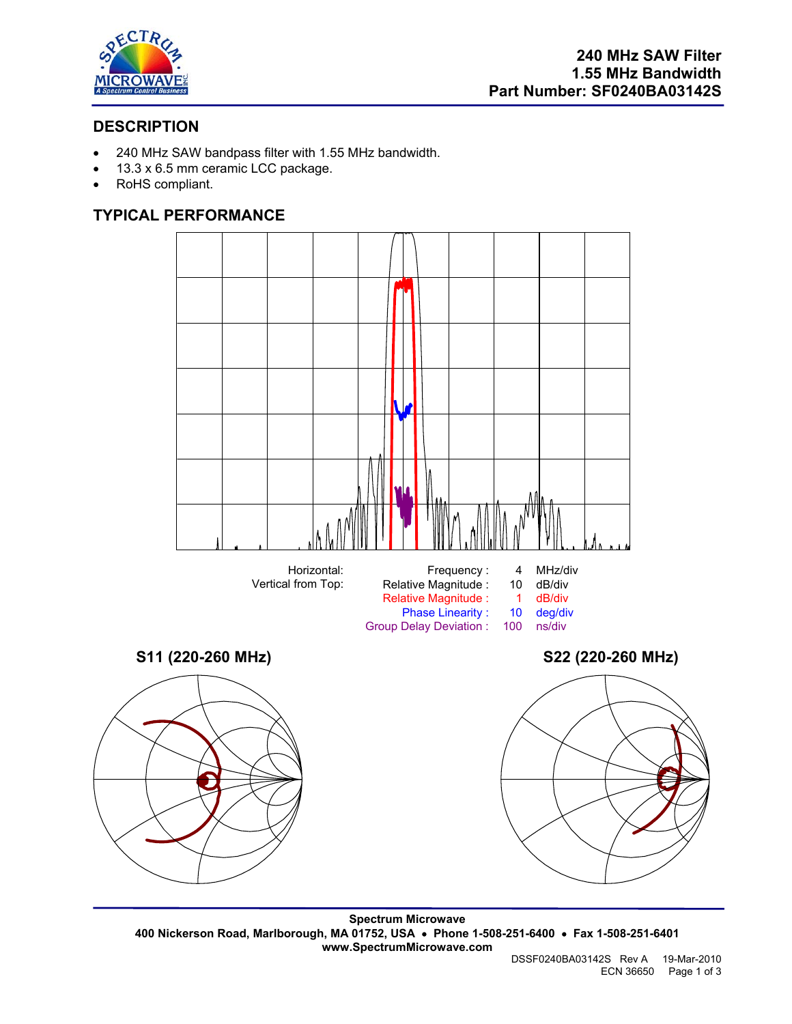

# **DESCRIPTION**

- 240 MHz SAW bandpass filter with 1.55 MHz bandwidth.
- 13.3 x 6.5 mm ceramic LCC package.
- RoHS compliant.

# **TYPICAL PERFORMANCE**



**Spectrum Microwave 400 Nickerson Road, Marlborough, MA 01752, USA** • **Phone 1-508-251-6400** • **Fax 1-508-251-6401 www.SpectrumMicrowave.com**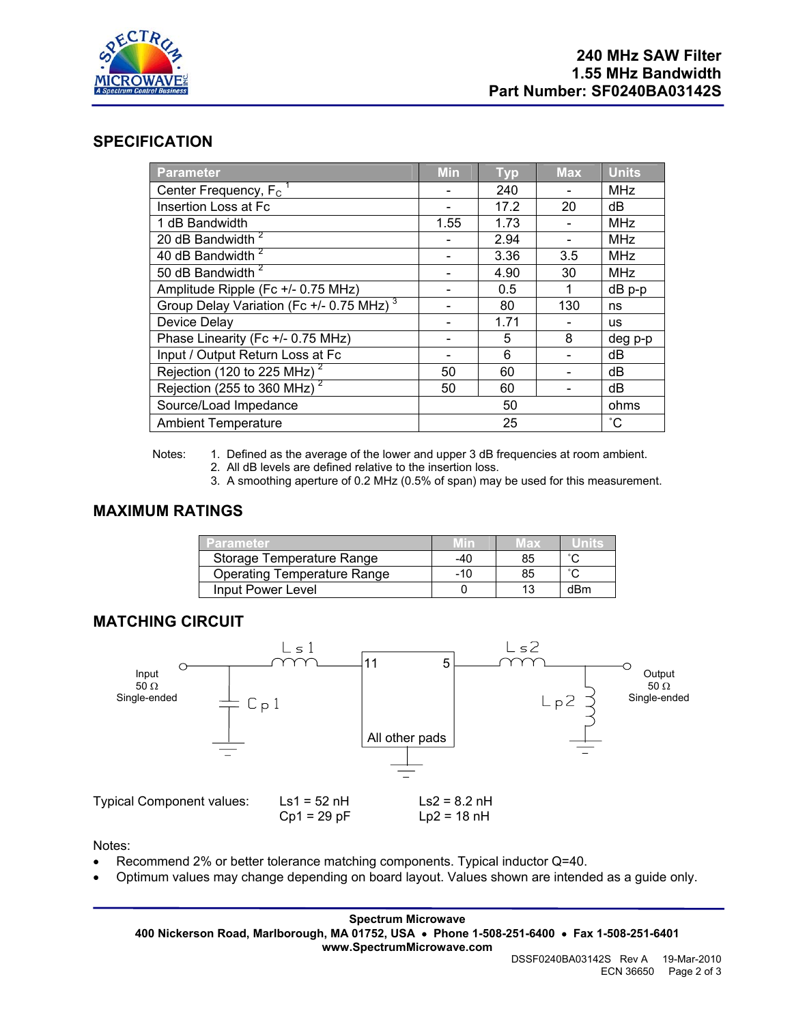

## **SPECIFICATION**

| <b>Parameter</b>                                     | <b>Min</b> | <b>Typ</b> | <b>Max</b> | Units      |
|------------------------------------------------------|------------|------------|------------|------------|
| Center Frequency, F <sub>c</sub>                     |            | 240        |            | <b>MHz</b> |
| Insertion Loss at Fc                                 |            | 17.2       | 20         | dB         |
| 1 dB Bandwidth                                       | 1.55       | 1.73       |            | <b>MHz</b> |
| 20 dB Bandwidth <sup>2</sup>                         |            | 2.94       |            | <b>MHz</b> |
| 40 dB Bandwidth <sup>2</sup>                         |            | 3.36       | 3.5        | <b>MHz</b> |
| 50 dB Bandwidth <sup>2</sup>                         |            | 4.90       | 30         | <b>MHz</b> |
| Amplitude Ripple (Fc +/- 0.75 MHz)                   |            | 0.5        | 1          | $dB$ $p-p$ |
| Group Delay Variation (Fc +/- 0.75 MHz) <sup>3</sup> |            | 80         | 130        | ns         |
| Device Delay                                         |            | 1.71       |            | <b>us</b>  |
| Phase Linearity (Fc +/- 0.75 MHz)                    |            | 5          | 8          | deg p-p    |
| Input / Output Return Loss at Fc                     |            | 6          |            | dB         |
| Rejection (120 to 225 MHz) <sup>2</sup>              | 50         | 60         |            | dB         |
| Rejection (255 to 360 MHz) $2^2$                     | 50         | 60         |            | dB         |
| Source/Load Impedance                                | 50         |            | ohms       |            |
| <b>Ambient Temperature</b>                           | 25         |            |            | °С         |

Notes: 1. Defined as the average of the lower and upper 3 dB frequencies at room ambient.

- 2. All dB levels are defined relative to the insertion loss.
- 3. A smoothing aperture of 0.2 MHz (0.5% of span) may be used for this measurement.

## **MAXIMUM RATINGS**

| <b>Parameter</b>                   |       | <b>TEX</b> |     |
|------------------------------------|-------|------------|-----|
| Storage Temperature Range          | -40   | 85         |     |
| <b>Operating Temperature Range</b> | $-10$ | 85         |     |
| Input Power Level                  |       |            | dBm |

## **MATCHING CIRCUIT**



Notes:

- Recommend 2% or better tolerance matching components. Typical inductor Q=40.
- Optimum values may change depending on board layout. Values shown are intended as a guide only.